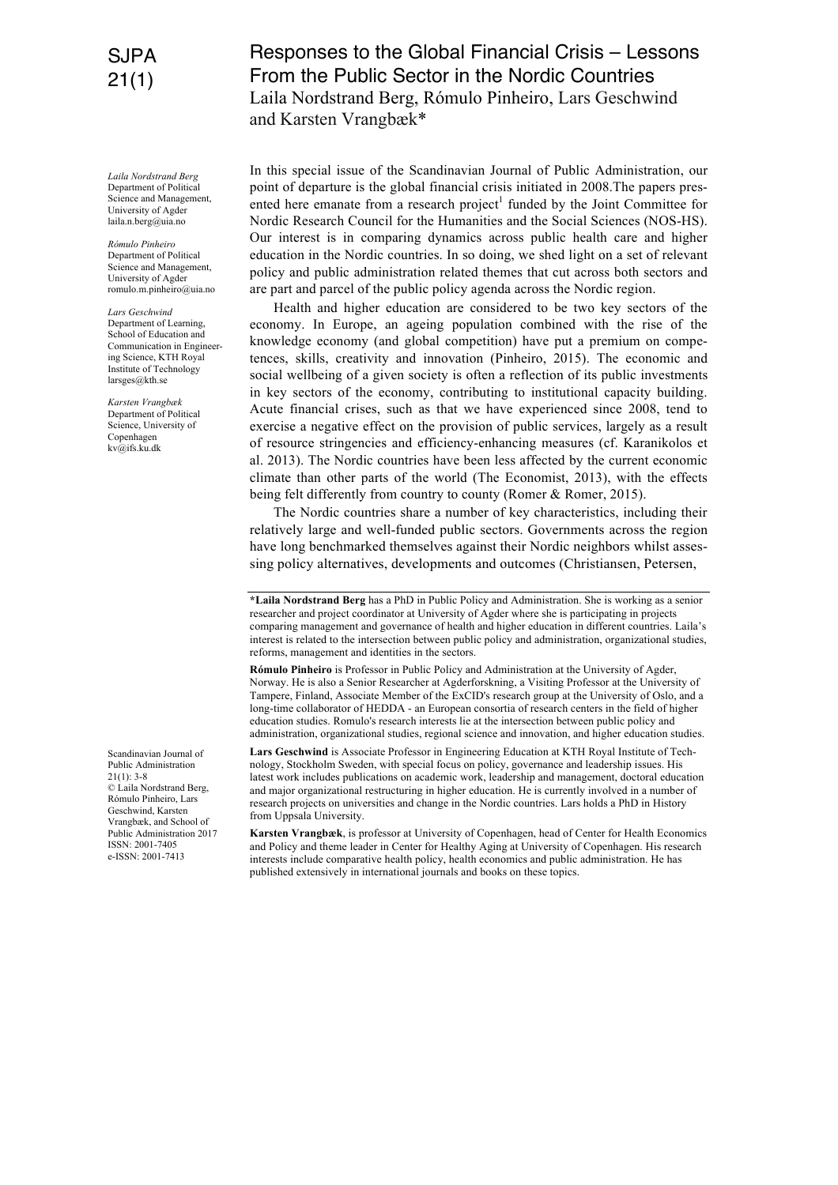## SJPA 21(1)

*Laila Nordstrand Berg* Department of Political Science and Management University of Agder laila.n.berg@uia.no

*Rómulo Pinheiro*  Department of Political Science and Management, University of Agder romulo.m.pinheiro@uia.no

*Lars Geschwind* Department of Learning, School of Education and Communication in Engineering Science, KTH Royal Institute of Technology larsges@kth.se

*Karsten Vrangbæk* Department of Political Science, University of Copenhagen kv@ifs.ku.dk

Scandinavian Journal of Public Administration  $21(1): 3-8$ © Laila Nordstrand Berg, Rómulo Pinheiro, Lars Geschwind, Karsten Vrangbæk, and School of Public Administration 2017 ISSN: 2001-7405 e-ISSN: 2001-7413

## Responses to the Global Financial Crisis – Lessons From the Public Sector in the Nordic Countries Laila Nordstrand Berg, Rómulo Pinheiro, Lars Geschwind and Karsten Vrangbæk\*

In this special issue of the Scandinavian Journal of Public Administration, our point of departure is the global financial crisis initiated in 2008.The papers presented here emanate from a research project<sup>1</sup> funded by the Joint Committee for Nordic Research Council for the Humanities and the Social Sciences (NOS-HS). Our interest is in comparing dynamics across public health care and higher education in the Nordic countries. In so doing, we shed light on a set of relevant policy and public administration related themes that cut across both sectors and are part and parcel of the public policy agenda across the Nordic region.

Health and higher education are considered to be two key sectors of the economy. In Europe, an ageing population combined with the rise of the knowledge economy (and global competition) have put a premium on competences, skills, creativity and innovation (Pinheiro, 2015). The economic and social wellbeing of a given society is often a reflection of its public investments in key sectors of the economy, contributing to institutional capacity building. Acute financial crises, such as that we have experienced since 2008, tend to exercise a negative effect on the provision of public services, largely as a result of resource stringencies and efficiency-enhancing measures (cf. Karanikolos et al. 2013). The Nordic countries have been less affected by the current economic climate than other parts of the world (The Economist, 2013), with the effects being felt differently from country to county (Romer & Romer, 2015).

The Nordic countries share a number of key characteristics, including their relatively large and well-funded public sectors. Governments across the region have long benchmarked themselves against their Nordic neighbors whilst assessing policy alternatives, developments and outcomes (Christiansen, Petersen,

**Rómulo Pinheiro** is Professor in Public Policy and Administration at the University of Agder, Norway. He is also a Senior Researcher at Agderforskning, a Visiting Professor at the University of Tampere, Finland, Associate Member of the ExCID's research group at the University of Oslo, and a long-time collaborator of HEDDA - an European consortia of research centers in the field of higher education studies. Romulo's research interests lie at the intersection between public policy and administration, organizational studies, regional science and innovation, and higher education studies.

**Lars Geschwind** is Associate Professor in Engineering Education at KTH Royal Institute of Technology, Stockholm Sweden, with special focus on policy, governance and leadership issues. His latest work includes publications on academic work, leadership and management, doctoral education and major organizational restructuring in higher education. He is currently involved in a number of research projects on universities and change in the Nordic countries. Lars holds a PhD in History from Uppsala University.

**Karsten Vrangbæk**, is professor at University of Copenhagen, head of Center for Health Economics and Policy and theme leader in Center for Healthy Aging at University of Copenhagen. His research interests include comparative health policy, health economics and public administration. He has published extensively in international journals and books on these topics.

**<sup>\*</sup>Laila Nordstrand Berg** has a PhD in Public Policy and Administration. She is working as a senior researcher and project coordinator at University of Agder where she is participating in projects comparing management and governance of health and higher education in different countries. Laila's interest is related to the intersection between public policy and administration, organizational studies, reforms, management and identities in the sectors.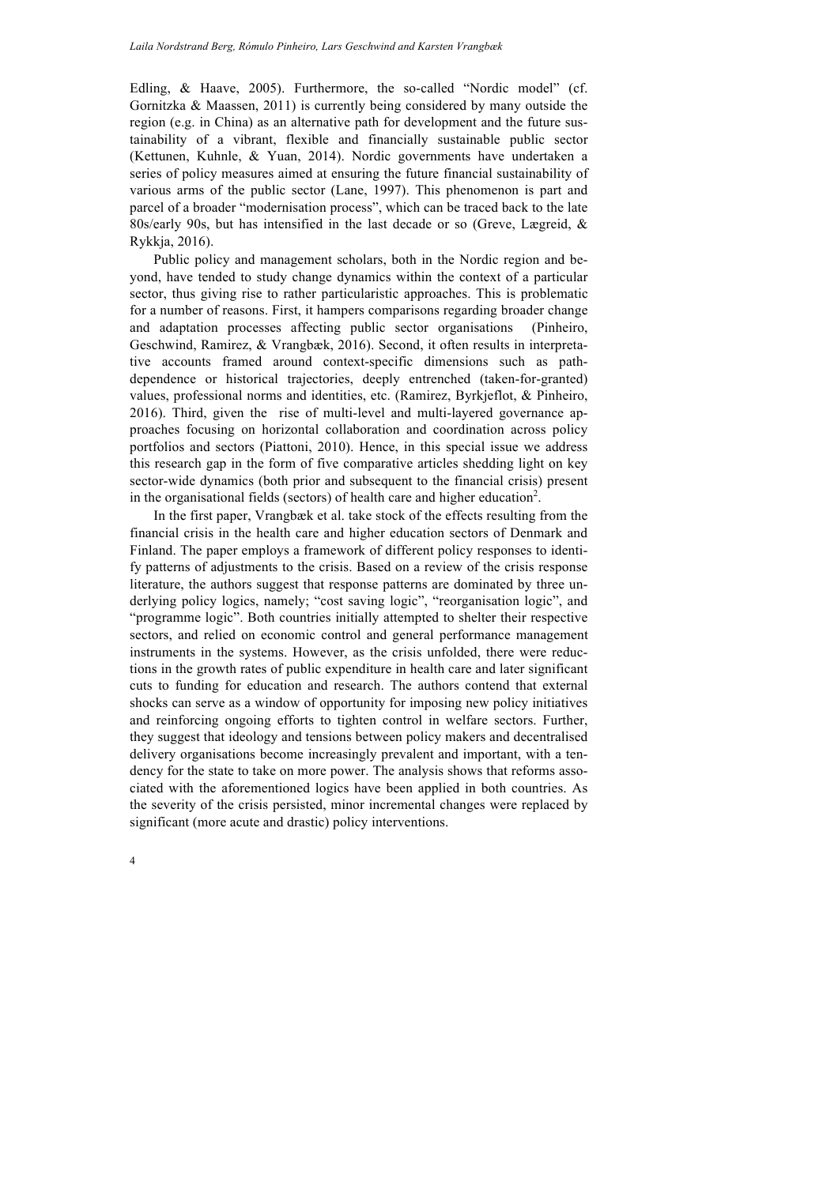Edling, & Haave, 2005). Furthermore, the so-called "Nordic model" (cf. Gornitzka & Maassen, 2011) is currently being considered by many outside the region (e.g. in China) as an alternative path for development and the future sustainability of a vibrant, flexible and financially sustainable public sector (Kettunen, Kuhnle, & Yuan, 2014). Nordic governments have undertaken a series of policy measures aimed at ensuring the future financial sustainability of various arms of the public sector (Lane, 1997). This phenomenon is part and parcel of a broader "modernisation process", which can be traced back to the late 80s/early 90s, but has intensified in the last decade or so (Greve, Lægreid, & Rykkja, 2016).

Public policy and management scholars, both in the Nordic region and beyond, have tended to study change dynamics within the context of a particular sector, thus giving rise to rather particularistic approaches. This is problematic for a number of reasons. First, it hampers comparisons regarding broader change and adaptation processes affecting public sector organisations (Pinheiro, Geschwind, Ramirez, & Vrangbæk, 2016). Second, it often results in interpretative accounts framed around context-specific dimensions such as pathdependence or historical trajectories, deeply entrenched (taken-for-granted) values, professional norms and identities, etc. (Ramirez, Byrkjeflot, & Pinheiro, 2016). Third, given the rise of multi-level and multi-layered governance approaches focusing on horizontal collaboration and coordination across policy portfolios and sectors (Piattoni, 2010). Hence, in this special issue we address this research gap in the form of five comparative articles shedding light on key sector-wide dynamics (both prior and subsequent to the financial crisis) present in the organisational fields (sectors) of health care and higher education<sup>2</sup>.

In the first paper, Vrangbæk et al. take stock of the effects resulting from the financial crisis in the health care and higher education sectors of Denmark and Finland. The paper employs a framework of different policy responses to identify patterns of adjustments to the crisis. Based on a review of the crisis response literature, the authors suggest that response patterns are dominated by three underlying policy logics, namely; "cost saving logic", "reorganisation logic", and "programme logic". Both countries initially attempted to shelter their respective sectors, and relied on economic control and general performance management instruments in the systems. However, as the crisis unfolded, there were reductions in the growth rates of public expenditure in health care and later significant cuts to funding for education and research. The authors contend that external shocks can serve as a window of opportunity for imposing new policy initiatives and reinforcing ongoing efforts to tighten control in welfare sectors. Further, they suggest that ideology and tensions between policy makers and decentralised delivery organisations become increasingly prevalent and important, with a tendency for the state to take on more power. The analysis shows that reforms associated with the aforementioned logics have been applied in both countries. As the severity of the crisis persisted, minor incremental changes were replaced by significant (more acute and drastic) policy interventions.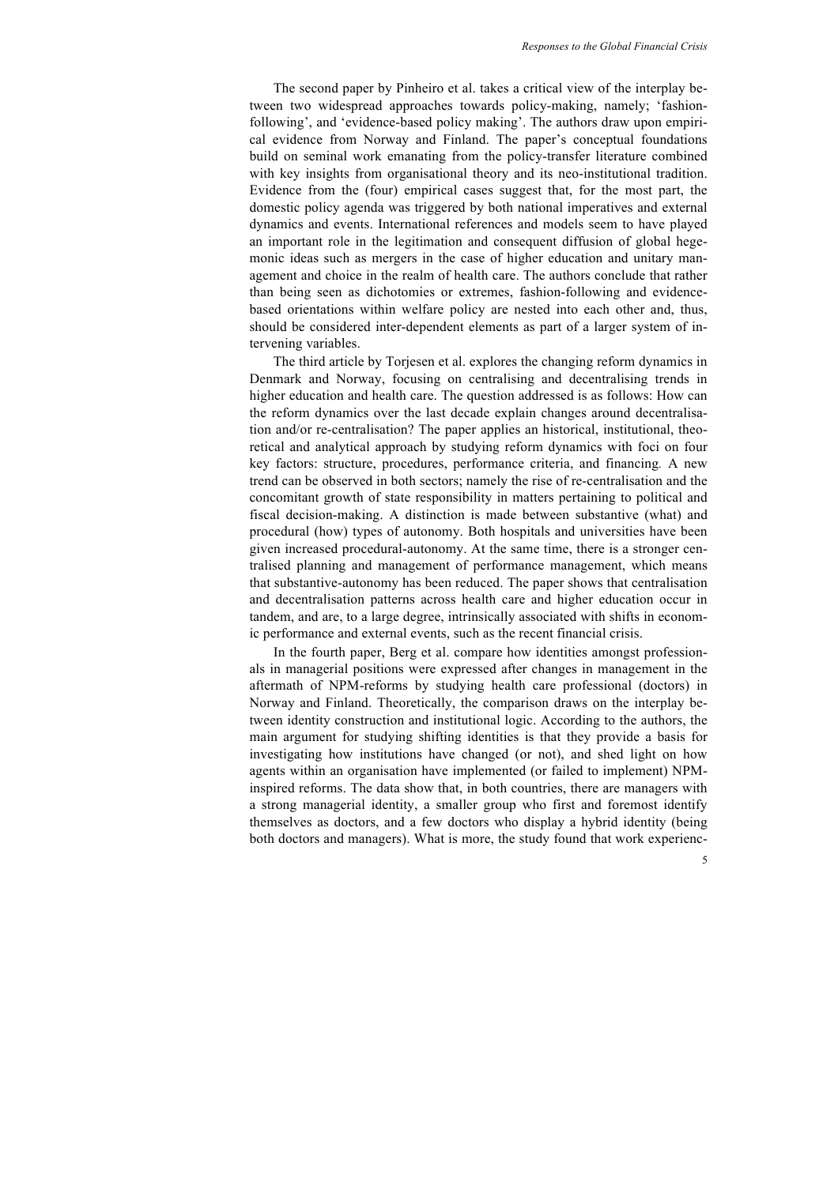The second paper by Pinheiro et al. takes a critical view of the interplay between two widespread approaches towards policy-making, namely; 'fashionfollowing', and 'evidence-based policy making'. The authors draw upon empirical evidence from Norway and Finland. The paper's conceptual foundations build on seminal work emanating from the policy-transfer literature combined with key insights from organisational theory and its neo-institutional tradition. Evidence from the (four) empirical cases suggest that, for the most part, the domestic policy agenda was triggered by both national imperatives and external dynamics and events. International references and models seem to have played an important role in the legitimation and consequent diffusion of global hegemonic ideas such as mergers in the case of higher education and unitary management and choice in the realm of health care. The authors conclude that rather than being seen as dichotomies or extremes, fashion-following and evidencebased orientations within welfare policy are nested into each other and, thus, should be considered inter-dependent elements as part of a larger system of intervening variables.

The third article by Torjesen et al. explores the changing reform dynamics in Denmark and Norway, focusing on centralising and decentralising trends in higher education and health care. The question addressed is as follows: How can the reform dynamics over the last decade explain changes around decentralisation and/or re-centralisation? The paper applies an historical, institutional, theoretical and analytical approach by studying reform dynamics with foci on four key factors: structure, procedures, performance criteria, and financing*.* A new trend can be observed in both sectors; namely the rise of re-centralisation and the concomitant growth of state responsibility in matters pertaining to political and fiscal decision-making. A distinction is made between substantive (what) and procedural (how) types of autonomy. Both hospitals and universities have been given increased procedural-autonomy. At the same time, there is a stronger centralised planning and management of performance management, which means that substantive-autonomy has been reduced. The paper shows that centralisation and decentralisation patterns across health care and higher education occur in tandem, and are, to a large degree, intrinsically associated with shifts in economic performance and external events, such as the recent financial crisis.

In the fourth paper, Berg et al. compare how identities amongst professionals in managerial positions were expressed after changes in management in the aftermath of NPM-reforms by studying health care professional (doctors) in Norway and Finland. Theoretically, the comparison draws on the interplay between identity construction and institutional logic. According to the authors, the main argument for studying shifting identities is that they provide a basis for investigating how institutions have changed (or not), and shed light on how agents within an organisation have implemented (or failed to implement) NPMinspired reforms. The data show that, in both countries, there are managers with a strong managerial identity, a smaller group who first and foremost identify themselves as doctors, and a few doctors who display a hybrid identity (being both doctors and managers). What is more, the study found that work experienc-

5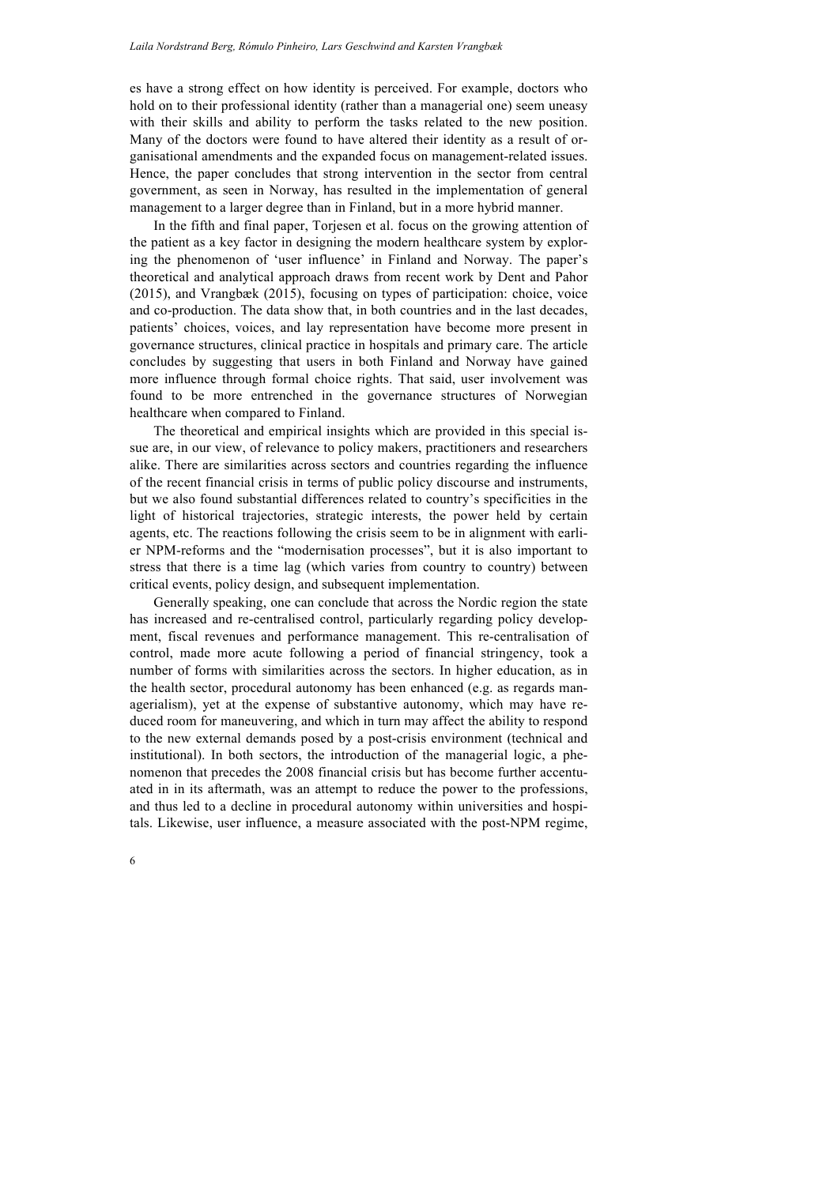es have a strong effect on how identity is perceived. For example, doctors who hold on to their professional identity (rather than a managerial one) seem uneasy with their skills and ability to perform the tasks related to the new position. Many of the doctors were found to have altered their identity as a result of organisational amendments and the expanded focus on management-related issues. Hence, the paper concludes that strong intervention in the sector from central government, as seen in Norway, has resulted in the implementation of general management to a larger degree than in Finland, but in a more hybrid manner.

In the fifth and final paper, Torjesen et al. focus on the growing attention of the patient as a key factor in designing the modern healthcare system by exploring the phenomenon of 'user influence' in Finland and Norway. The paper's theoretical and analytical approach draws from recent work by Dent and Pahor (2015), and Vrangbæk (2015), focusing on types of participation: choice, voice and co-production. The data show that, in both countries and in the last decades, patients' choices, voices, and lay representation have become more present in governance structures, clinical practice in hospitals and primary care. The article concludes by suggesting that users in both Finland and Norway have gained more influence through formal choice rights. That said, user involvement was found to be more entrenched in the governance structures of Norwegian healthcare when compared to Finland.

The theoretical and empirical insights which are provided in this special issue are, in our view, of relevance to policy makers, practitioners and researchers alike. There are similarities across sectors and countries regarding the influence of the recent financial crisis in terms of public policy discourse and instruments, but we also found substantial differences related to country's specificities in the light of historical trajectories, strategic interests, the power held by certain agents, etc. The reactions following the crisis seem to be in alignment with earlier NPM-reforms and the "modernisation processes", but it is also important to stress that there is a time lag (which varies from country to country) between critical events, policy design, and subsequent implementation.

Generally speaking, one can conclude that across the Nordic region the state has increased and re-centralised control, particularly regarding policy development, fiscal revenues and performance management. This re-centralisation of control, made more acute following a period of financial stringency, took a number of forms with similarities across the sectors. In higher education, as in the health sector, procedural autonomy has been enhanced (e.g. as regards managerialism), yet at the expense of substantive autonomy, which may have reduced room for maneuvering, and which in turn may affect the ability to respond to the new external demands posed by a post-crisis environment (technical and institutional). In both sectors, the introduction of the managerial logic, a phenomenon that precedes the 2008 financial crisis but has become further accentuated in in its aftermath, was an attempt to reduce the power to the professions, and thus led to a decline in procedural autonomy within universities and hospitals. Likewise, user influence, a measure associated with the post-NPM regime,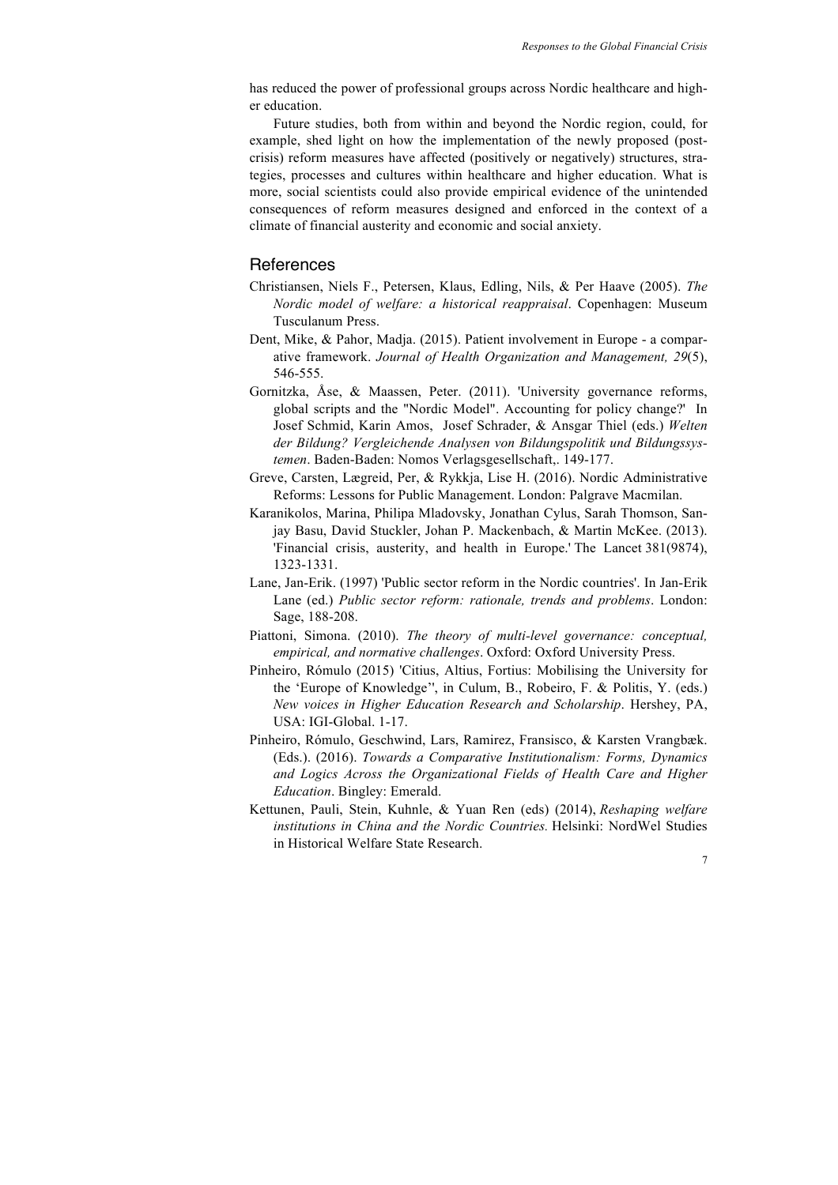has reduced the power of professional groups across Nordic healthcare and higher education.

Future studies, both from within and beyond the Nordic region, could, for example, shed light on how the implementation of the newly proposed (postcrisis) reform measures have affected (positively or negatively) structures, strategies, processes and cultures within healthcare and higher education. What is more, social scientists could also provide empirical evidence of the unintended consequences of reform measures designed and enforced in the context of a climate of financial austerity and economic and social anxiety.

## References

- Christiansen, Niels F., Petersen, Klaus, Edling, Nils, & Per Haave (2005). *The Nordic model of welfare: a historical reappraisal*. Copenhagen: Museum Tusculanum Press.
- Dent, Mike, & Pahor, Madja. (2015). Patient involvement in Europe a comparative framework. *Journal of Health Organization and Management, 29*(5), 546-555.
- Gornitzka, Åse, & Maassen, Peter. (2011). 'University governance reforms, global scripts and the "Nordic Model". Accounting for policy change?' In Josef Schmid, Karin Amos, Josef Schrader, & Ansgar Thiel (eds.) *Welten der Bildung? Vergleichende Analysen von Bildungspolitik und Bildungssystemen*. Baden-Baden: Nomos Verlagsgesellschaft,. 149-177.
- Greve, Carsten, Lægreid, Per, & Rykkja, Lise H. (2016). Nordic Administrative Reforms: Lessons for Public Management. London: Palgrave Macmilan.
- Karanikolos, Marina, Philipa Mladovsky, Jonathan Cylus, Sarah Thomson, Sanjay Basu, David Stuckler, Johan P. Mackenbach, & Martin McKee. (2013). 'Financial crisis, austerity, and health in Europe.' The Lancet 381(9874), 1323-1331.
- Lane, Jan-Erik. (1997) 'Public sector reform in the Nordic countries'. In Jan-Erik Lane (ed.) *Public sector reform: rationale, trends and problems*. London: Sage, 188-208.
- Piattoni, Simona. (2010). *The theory of multi-level governance: conceptual, empirical, and normative challenges*. Oxford: Oxford University Press.
- Pinheiro, Rómulo (2015) 'Citius, Altius, Fortius: Mobilising the University for the 'Europe of Knowledge'', in Culum, B., Robeiro, F. & Politis, Y. (eds.) *New voices in Higher Education Research and Scholarship*. Hershey, PA, USA: IGI-Global. 1-17.
- Pinheiro, Rómulo, Geschwind, Lars, Ramirez, Fransisco, & Karsten Vrangbæk. (Eds.). (2016). *Towards a Comparative Institutionalism: Forms, Dynamics and Logics Across the Organizational Fields of Health Care and Higher Education*. Bingley: Emerald.
- Kettunen, Pauli, Stein, Kuhnle, & Yuan Ren (eds) (2014), *Reshaping welfare institutions in China and the Nordic Countries.* Helsinki: NordWel Studies in Historical Welfare State Research.